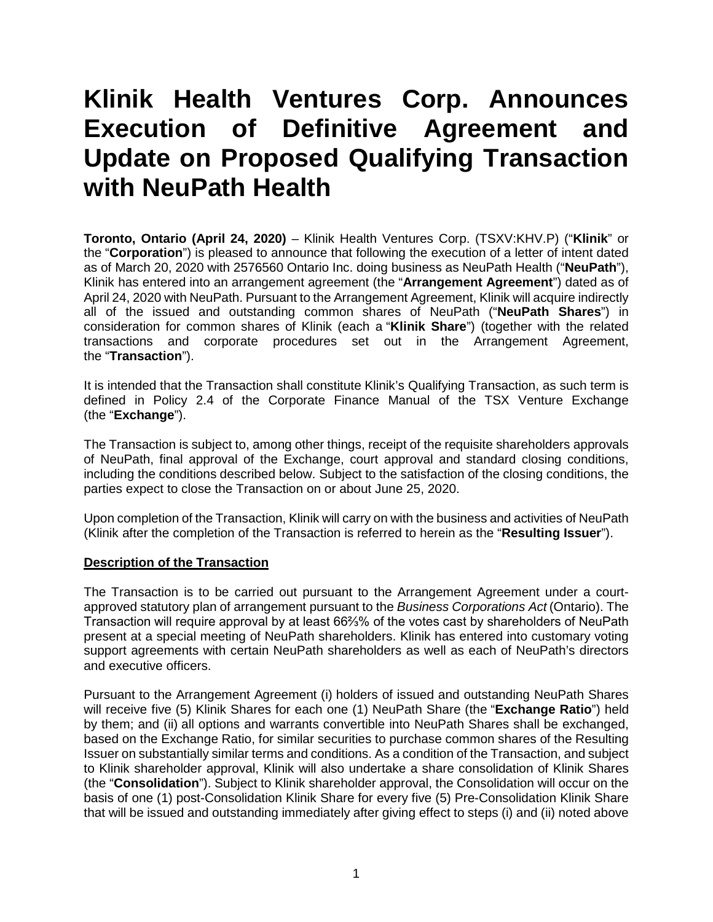# **Klinik Health Ventures Corp. Announces Execution of Definitive Agreement and Update on Proposed Qualifying Transaction with NeuPath Health**

**Toronto, Ontario (April 24, 2020)** – Klinik Health Ventures Corp. (TSXV:KHV.P) ("**Klinik**" or the "**Corporation**") is pleased to announce that following the execution of a letter of intent dated as of March 20, 2020 with 2576560 Ontario Inc. doing business as NeuPath Health ("**NeuPath**"), Klinik has entered into an arrangement agreement (the "**Arrangement Agreement**") dated as of April 24, 2020 with NeuPath. Pursuant to the Arrangement Agreement, Klinik will acquire indirectly all of the issued and outstanding common shares of NeuPath ("**NeuPath Shares**") in consideration for common shares of Klinik (each a "**Klinik Share**") (together with the related transactions and corporate procedures set out in the Arrangement Agreement, the "**Transaction**").

It is intended that the Transaction shall constitute Klinik's Qualifying Transaction, as such term is defined in Policy 2.4 of the Corporate Finance Manual of the TSX Venture Exchange (the "**Exchange**").

The Transaction is subject to, among other things, receipt of the requisite shareholders approvals of NeuPath, final approval of the Exchange, court approval and standard closing conditions, including the conditions described below. Subject to the satisfaction of the closing conditions, the parties expect to close the Transaction on or about June 25, 2020.

Upon completion of the Transaction, Klinik will carry on with the business and activities of NeuPath (Klinik after the completion of the Transaction is referred to herein as the "**Resulting Issuer**").

## **Description of the Transaction**

The Transaction is to be carried out pursuant to the Arrangement Agreement under a courtapproved statutory plan of arrangement pursuant to the *Business Corporations Act* (Ontario). The Transaction will require approval by at least 66⅔% of the votes cast by shareholders of NeuPath present at a special meeting of NeuPath shareholders. Klinik has entered into customary voting support agreements with certain NeuPath shareholders as well as each of NeuPath's directors and executive officers.

Pursuant to the Arrangement Agreement (i) holders of issued and outstanding NeuPath Shares will receive five (5) Klinik Shares for each one (1) NeuPath Share (the "**Exchange Ratio**") held by them; and (ii) all options and warrants convertible into NeuPath Shares shall be exchanged, based on the Exchange Ratio, for similar securities to purchase common shares of the Resulting Issuer on substantially similar terms and conditions. As a condition of the Transaction, and subject to Klinik shareholder approval, Klinik will also undertake a share consolidation of Klinik Shares (the "**Consolidation**"). Subject to Klinik shareholder approval, the Consolidation will occur on the basis of one (1) post-Consolidation Klinik Share for every five (5) Pre-Consolidation Klinik Share that will be issued and outstanding immediately after giving effect to steps (i) and (ii) noted above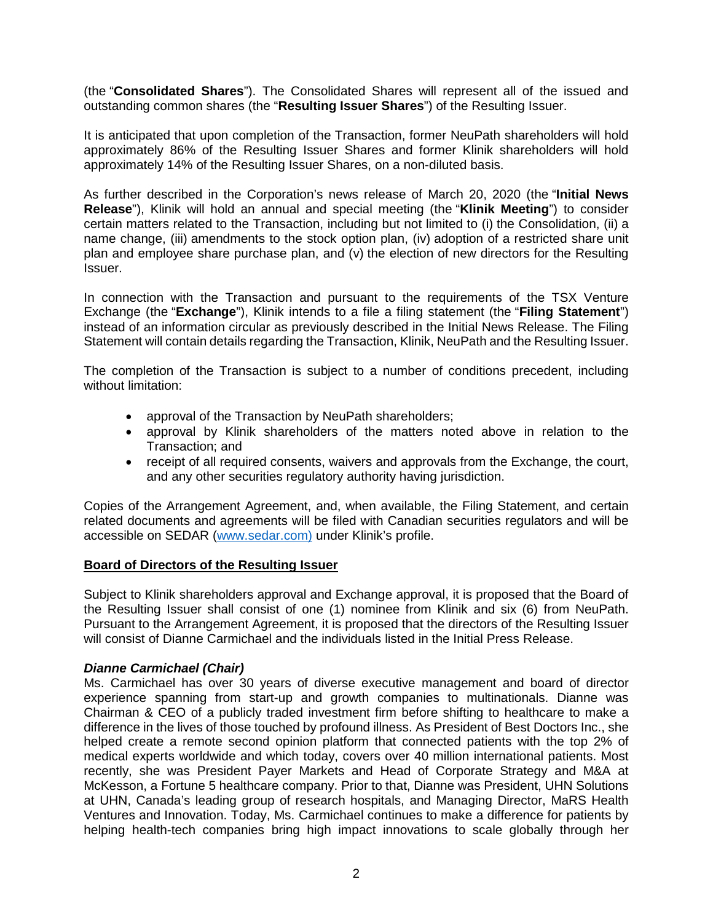(the "**Consolidated Shares**"). The Consolidated Shares will represent all of the issued and outstanding common shares (the "**Resulting Issuer Shares**") of the Resulting Issuer.

It is anticipated that upon completion of the Transaction, former NeuPath shareholders will hold approximately 86% of the Resulting Issuer Shares and former Klinik shareholders will hold approximately 14% of the Resulting Issuer Shares, on a non-diluted basis.

As further described in the Corporation's news release of March 20, 2020 (the "**Initial News Release**"), Klinik will hold an annual and special meeting (the "**Klinik Meeting**") to consider certain matters related to the Transaction, including but not limited to (i) the Consolidation, (ii) a name change, (iii) amendments to the stock option plan, (iv) adoption of a restricted share unit plan and employee share purchase plan, and (v) the election of new directors for the Resulting Issuer.

In connection with the Transaction and pursuant to the requirements of the TSX Venture Exchange (the "**Exchange**"), Klinik intends to a file a filing statement (the "**Filing Statement**") instead of an information circular as previously described in the Initial News Release. The Filing Statement will contain details regarding the Transaction, Klinik, NeuPath and the Resulting Issuer.

The completion of the Transaction is subject to a number of conditions precedent, including without limitation:

- approval of the Transaction by NeuPath shareholders;
- approval by Klinik shareholders of the matters noted above in relation to the Transaction; and
- receipt of all required consents, waivers and approvals from the Exchange, the court, and any other securities regulatory authority having jurisdiction.

Copies of the Arrangement Agreement, and, when available, the Filing Statement, and certain related documents and agreements will be filed with Canadian securities regulators and will be accessible on SEDAR [\(www.sedar.com\)](http://www.sedar.com/) under Klinik's profile.

#### **Board of Directors of the Resulting Issuer**

Subject to Klinik shareholders approval and Exchange approval, it is proposed that the Board of the Resulting Issuer shall consist of one (1) nominee from Klinik and six (6) from NeuPath. Pursuant to the Arrangement Agreement, it is proposed that the directors of the Resulting Issuer will consist of Dianne Carmichael and the individuals listed in the Initial Press Release.

## *Dianne Carmichael (Chair)*

Ms. Carmichael has over 30 years of diverse executive management and board of director experience spanning from start-up and growth companies to multinationals. Dianne was Chairman & CEO of a publicly traded investment firm before shifting to healthcare to make a difference in the lives of those touched by profound illness. As President of Best Doctors Inc., she helped create a remote second opinion platform that connected patients with the top 2% of medical experts worldwide and which today, covers over 40 million international patients. Most recently, she was President Payer Markets and Head of Corporate Strategy and M&A at McKesson, a Fortune 5 healthcare company. Prior to that, Dianne was President, UHN Solutions at UHN, Canada's leading group of research hospitals, and Managing Director, MaRS Health Ventures and Innovation. Today, Ms. Carmichael continues to make a difference for patients by helping health-tech companies bring high impact innovations to scale globally through her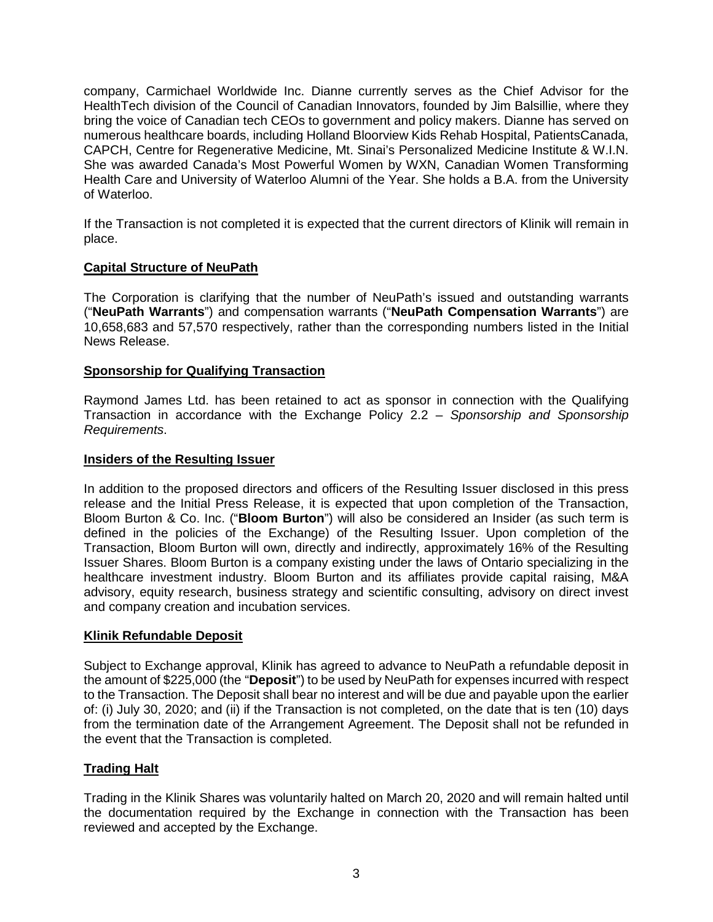company, Carmichael Worldwide Inc. Dianne currently serves as the Chief Advisor for the HealthTech division of the Council of Canadian Innovators, founded by Jim Balsillie, where they bring the voice of Canadian tech CEOs to government and policy makers. Dianne has served on numerous healthcare boards, including Holland Bloorview Kids Rehab Hospital, PatientsCanada, CAPCH, Centre for Regenerative Medicine, Mt. Sinai's Personalized Medicine Institute & W.I.N. She was awarded Canada's Most Powerful Women by WXN, Canadian Women Transforming Health Care and University of Waterloo Alumni of the Year. She holds a B.A. from the University of Waterloo.

If the Transaction is not completed it is expected that the current directors of Klinik will remain in place.

## **Capital Structure of NeuPath**

The Corporation is clarifying that the number of NeuPath's issued and outstanding warrants ("**NeuPath Warrants**") and compensation warrants ("**NeuPath Compensation Warrants**") are 10,658,683 and 57,570 respectively, rather than the corresponding numbers listed in the Initial News Release.

## **Sponsorship for Qualifying Transaction**

Raymond James Ltd. has been retained to act as sponsor in connection with the Qualifying Transaction in accordance with the Exchange Policy 2.2 – *Sponsorship and Sponsorship Requirements*.

#### **Insiders of the Resulting Issuer**

In addition to the proposed directors and officers of the Resulting Issuer disclosed in this press release and the Initial Press Release, it is expected that upon completion of the Transaction, Bloom Burton & Co. Inc. ("**Bloom Burton**") will also be considered an Insider (as such term is defined in the policies of the Exchange) of the Resulting Issuer. Upon completion of the Transaction, Bloom Burton will own, directly and indirectly, approximately 16% of the Resulting Issuer Shares. Bloom Burton is a company existing under the laws of Ontario specializing in the healthcare investment industry. Bloom Burton and its affiliates provide capital raising, M&A advisory, equity research, business strategy and scientific consulting, advisory on direct invest and company creation and incubation services.

## **Klinik Refundable Deposit**

Subject to Exchange approval, Klinik has agreed to advance to NeuPath a refundable deposit in the amount of \$225,000 (the "**Deposit**") to be used by NeuPath for expenses incurred with respect to the Transaction. The Deposit shall bear no interest and will be due and payable upon the earlier of: (i) July 30, 2020; and (ii) if the Transaction is not completed, on the date that is ten (10) days from the termination date of the Arrangement Agreement. The Deposit shall not be refunded in the event that the Transaction is completed.

## **Trading Halt**

Trading in the Klinik Shares was voluntarily halted on March 20, 2020 and will remain halted until the documentation required by the Exchange in connection with the Transaction has been reviewed and accepted by the Exchange.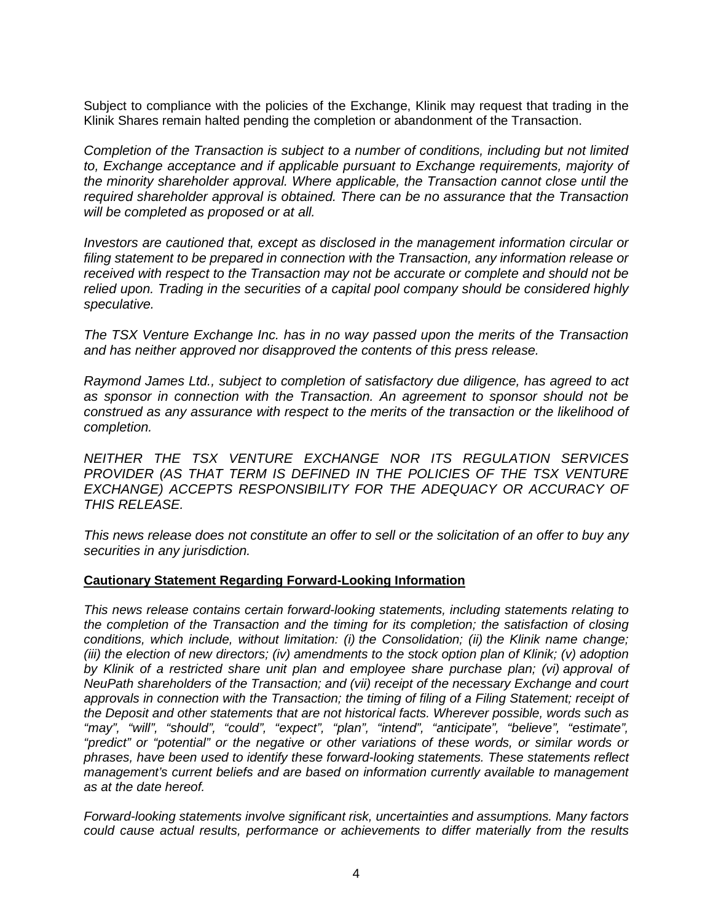Subject to compliance with the policies of the Exchange, Klinik may request that trading in the Klinik Shares remain halted pending the completion or abandonment of the Transaction.

*Completion of the Transaction is subject to a number of conditions, including but not limited to, Exchange acceptance and if applicable pursuant to Exchange requirements, majority of the minority shareholder approval. Where applicable, the Transaction cannot close until the required shareholder approval is obtained. There can be no assurance that the Transaction will be completed as proposed or at all.* 

*Investors are cautioned that, except as disclosed in the management information circular or filing statement to be prepared in connection with the Transaction, any information release or received with respect to the Transaction may not be accurate or complete and should not be relied upon. Trading in the securities of a capital pool company should be considered highly speculative.* 

*The TSX Venture Exchange Inc. has in no way passed upon the merits of the Transaction and has neither approved nor disapproved the contents of this press release.* 

*Raymond James Ltd., subject to completion of satisfactory due diligence, has agreed to act as sponsor in connection with the Transaction. An agreement to sponsor should not be construed as any assurance with respect to the merits of the transaction or the likelihood of completion.* 

*NEITHER THE TSX VENTURE EXCHANGE NOR ITS REGULATION SERVICES*  PROVIDER (AS THAT TERM IS DEFINED IN THE POLICIES OF THE TSX VENTURE *EXCHANGE) ACCEPTS RESPONSIBILITY FOR THE ADEQUACY OR ACCURACY OF THIS RELEASE.* 

*This news release does not constitute an offer to sell or the solicitation of an offer to buy any securities in any jurisdiction.* 

#### **Cautionary Statement Regarding Forward-Looking Information**

*This news release contains certain forward-looking statements, including statements relating to the completion of the Transaction and the timing for its completion; the satisfaction of closing conditions, which include, without limitation: (i) the Consolidation; (ii) the Klinik name change; (iii) the election of new directors; (iv) amendments to the stock option plan of Klinik; (v) adoption*  by Klinik of a restricted share unit plan and employee share purchase plan; (vi) approval of *NeuPath shareholders of the Transaction; and (vii) receipt of the necessary Exchange and court approvals in connection with the Transaction; the timing of filing of a Filing Statement; receipt of the Deposit and other statements that are not historical facts. Wherever possible, words such as "may", "will", "should", "could", "expect", "plan", "intend", "anticipate", "believe", "estimate", "predict" or "potential" or the negative or other variations of these words, or similar words or phrases, have been used to identify these forward-looking statements. These statements reflect management's current beliefs and are based on information currently available to management as at the date hereof.* 

*Forward-looking statements involve significant risk, uncertainties and assumptions. Many factors could cause actual results, performance or achievements to differ materially from the results*